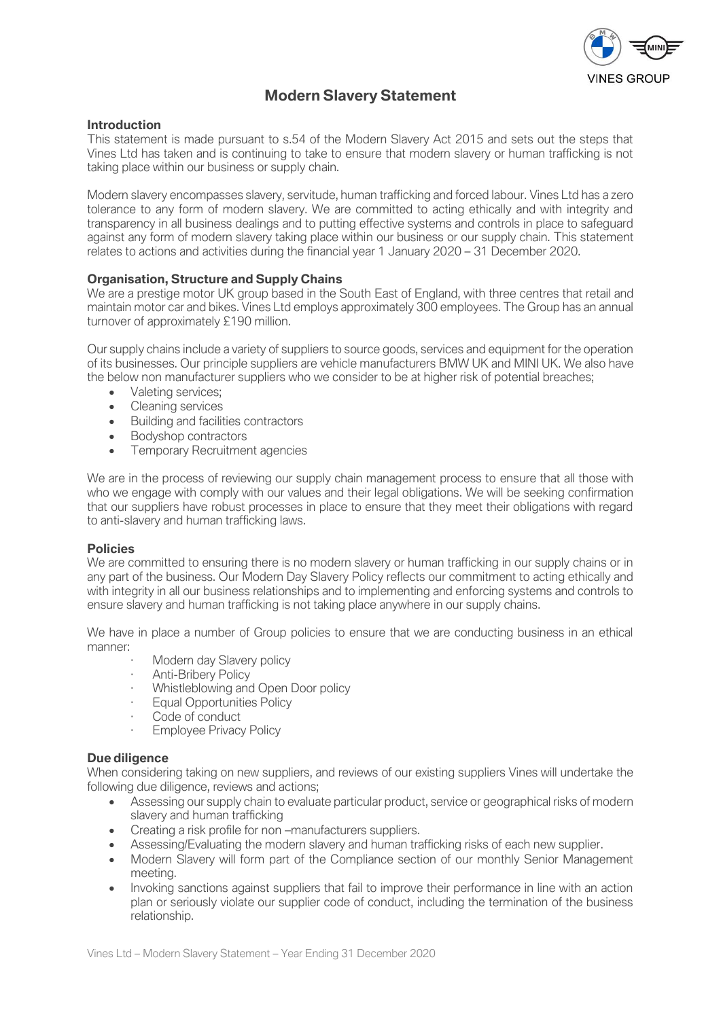

# **Modern Slavery Statement**

# **Introduction**

This statement is made pursuant to s.54 of the Modern Slavery Act 2015 and sets out the steps that Vines Ltd has taken and is continuing to take to ensure that modern slavery or human trafficking is not taking place within our business or supply chain.

Modern slavery encompasses slavery, servitude, human trafficking and forced labour. Vines Ltd has a zero tolerance to any form of modern slavery. We are committed to acting ethically and with integrity and transparency in all business dealings and to putting effective systems and controls in place to safeguard against any form of modern slavery taking place within our business or our supply chain. This statement relates to actions and activities during the financial year 1 January 2020 – 31 December 2020.

# **Organisation, Structure and Supply Chains**

We are a prestige motor UK group based in the South East of England, with three centres that retail and maintain motor car and bikes. Vines Ltd employs approximately 300 employees. The Group has an annual turnover of approximately £190 million.

Our supply chains include a variety of suppliers to source goods, services and equipment for the operation of its businesses. Our principle suppliers are vehicle manufacturers BMW UK and MINI UK. We also have the below non manufacturer suppliers who we consider to be at higher risk of potential breaches;

- Valeting services;
- Cleaning services
- Building and facilities contractors
- Bodyshop contractors
- Temporary Recruitment agencies

We are in the process of reviewing our supply chain management process to ensure that all those with who we engage with comply with our values and their legal obligations. We will be seeking confirmation that our suppliers have robust processes in place to ensure that they meet their obligations with regard to anti-slavery and human trafficking laws.

#### **Policies**

We are committed to ensuring there is no modern slavery or human trafficking in our supply chains or in any part of the business. Our Modern Day Slavery Policy reflects our commitment to acting ethically and with integrity in all our business relationships and to implementing and enforcing systems and controls to ensure slavery and human trafficking is not taking place anywhere in our supply chains.

We have in place a number of Group policies to ensure that we are conducting business in an ethical manner:

- Modern day Slavery policy
- Anti-Bribery Policy
- · Whistleblowing and Open Door policy
- **Equal Opportunities Policy**
- Code of conduct
- · Employee Privacy Policy

#### **Due diligence**

When considering taking on new suppliers, and reviews of our existing suppliers Vines will undertake the following due diligence, reviews and actions;

- Assessing our supply chain to evaluate particular product, service or geographical risks of modern slavery and human trafficking
- Creating a risk profile for non –manufacturers suppliers.
- Assessing/Evaluating the modern slavery and human trafficking risks of each new supplier.
- Modern Slavery will form part of the Compliance section of our monthly Senior Management meeting.
- Invoking sanctions against suppliers that fail to improve their performance in line with an action plan or seriously violate our supplier code of conduct, including the termination of the business relationship.